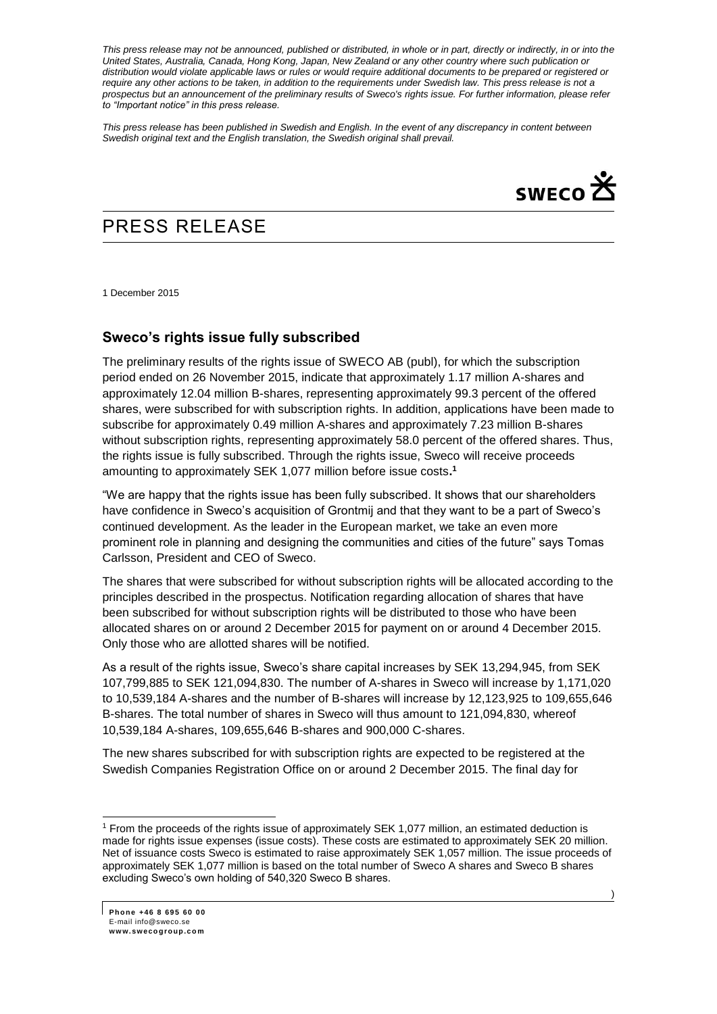*This press release may not be announced, published or distributed, in whole or in part, directly or indirectly, in or into the United States, Australia, Canada, Hong Kong, Japan, New Zealand or any other country where such publication or distribution would violate applicable laws or rules or would require additional documents to be prepared or registered or*  require any other actions to be taken, in addition to the requirements under Swedish law. This press release is not a *prospectus but an announcement of the preliminary results of Sweco's rights issue. For further information, please refer to "Important notice" in this press release.*

*This press release has been published in Swedish and English. In the event of any discrepancy in content between Swedish original text and the English translation, the Swedish original shall prevail.*



## PRESS RELEASE

1 December 2015

## **Sweco's rights issue fully subscribed**

The preliminary results of the rights issue of SWECO AB (publ), for which the subscription period ended on 26 November 2015, indicate that approximately 1.17 million A-shares and approximately 12.04 million B-shares, representing approximately 99.3 percent of the offered shares, were subscribed for with subscription rights. In addition, applications have been made to subscribe for approximately 0.49 million A-shares and approximately 7.23 million B-shares without subscription rights, representing approximately 58.0 percent of the offered shares. Thus, the rights issue is fully subscribed. Through the rights issue, Sweco will receive proceeds amounting to approximately SEK 1,077 million before issue costs**. 1**

"We are happy that the rights issue has been fully subscribed. It shows that our shareholders have confidence in Sweco's acquisition of Grontmij and that they want to be a part of Sweco's continued development. As the leader in the European market, we take an even more prominent role in planning and designing the communities and cities of the future" says Tomas Carlsson, President and CEO of Sweco.

The shares that were subscribed for without subscription rights will be allocated according to the principles described in the prospectus. Notification regarding allocation of shares that have been subscribed for without subscription rights will be distributed to those who have been allocated shares on or around 2 December 2015 for payment on or around 4 December 2015. Only those who are allotted shares will be notified.

As a result of the rights issue, Sweco's share capital increases by SEK 13,294,945, from SEK 107,799,885 to SEK 121,094,830. The number of A-shares in Sweco will increase by 1,171,020 to 10,539,184 A-shares and the number of B-shares will increase by 12,123,925 to 109,655,646 B-shares. The total number of shares in Sweco will thus amount to 121,094,830, whereof 10,539,184 A-shares, 109,655,646 B-shares and 900,000 C-shares.

The new shares subscribed for with subscription rights are expected to be registered at the Swedish Companies Registration Office on or around 2 December 2015. The final day for

-

<sup>1</sup> From the proceeds of the rights issue of approximately SEK 1,077 million, an estimated deduction is made for rights issue expenses (issue costs). These costs are estimated to approximately SEK 20 million. Net of issuance costs Sweco is estimated to raise approximately SEK 1,057 million. The issue proceeds of approximately SEK 1,077 million is based on the total number of Sweco A shares and Sweco B shares excluding Sweco's own holding of 540,320 Sweco B shares.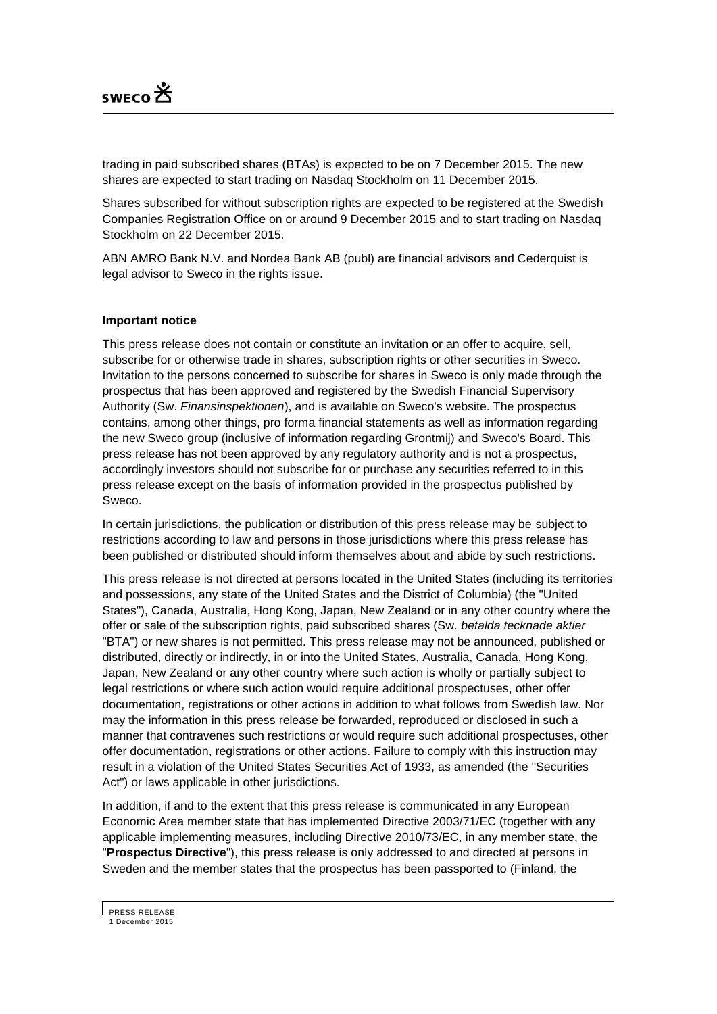

trading in paid subscribed shares (BTAs) is expected to be on 7 December 2015. The new shares are expected to start trading on Nasdaq Stockholm on 11 December 2015.

Shares subscribed for without subscription rights are expected to be registered at the Swedish Companies Registration Office on or around 9 December 2015 and to start trading on Nasdaq Stockholm on 22 December 2015.

ABN AMRO Bank N.V. and Nordea Bank AB (publ) are financial advisors and Cederquist is legal advisor to Sweco in the rights issue.

## **Important notice**

This press release does not contain or constitute an invitation or an offer to acquire, sell, subscribe for or otherwise trade in shares, subscription rights or other securities in Sweco. Invitation to the persons concerned to subscribe for shares in Sweco is only made through the prospectus that has been approved and registered by the Swedish Financial Supervisory Authority (Sw. *Finansinspektionen*), and is available on Sweco's website. The prospectus contains, among other things, pro forma financial statements as well as information regarding the new Sweco group (inclusive of information regarding Grontmij) and Sweco's Board. This press release has not been approved by any regulatory authority and is not a prospectus, accordingly investors should not subscribe for or purchase any securities referred to in this press release except on the basis of information provided in the prospectus published by Sweco.

In certain jurisdictions, the publication or distribution of this press release may be subject to restrictions according to law and persons in those jurisdictions where this press release has been published or distributed should inform themselves about and abide by such restrictions.

This press release is not directed at persons located in the United States (including its territories and possessions, any state of the United States and the District of Columbia) (the "United States"), Canada, Australia, Hong Kong, Japan, New Zealand or in any other country where the offer or sale of the subscription rights, paid subscribed shares (Sw. *betalda tecknade aktier* "BTA") or new shares is not permitted. This press release may not be announced, published or distributed, directly or indirectly, in or into the United States, Australia, Canada, Hong Kong, Japan, New Zealand or any other country where such action is wholly or partially subject to legal restrictions or where such action would require additional prospectuses, other offer documentation, registrations or other actions in addition to what follows from Swedish law. Nor may the information in this press release be forwarded, reproduced or disclosed in such a manner that contravenes such restrictions or would require such additional prospectuses, other offer documentation, registrations or other actions. Failure to comply with this instruction may result in a violation of the United States Securities Act of 1933, as amended (the "Securities Act") or laws applicable in other jurisdictions.

In addition, if and to the extent that this press release is communicated in any European Economic Area member state that has implemented Directive 2003/71/EC (together with any applicable implementing measures, including Directive 2010/73/EC, in any member state, the "**Prospectus Directive**"), this press release is only addressed to and directed at persons in Sweden and the member states that the prospectus has been passported to (Finland, the

PRESS RELEASE

<sup>1</sup> December 2015